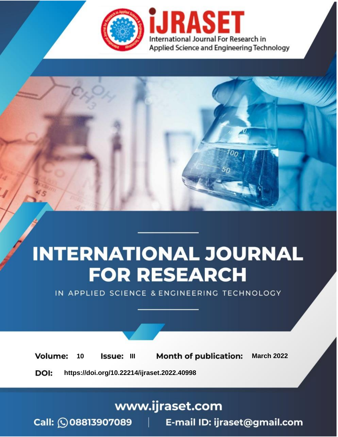

# **INTERNATIONAL JOURNAL FOR RESEARCH**

IN APPLIED SCIENCE & ENGINEERING TECHNOLOGY

10 **Issue: III Month of publication:** March 2022 **Volume:** 

**https://doi.org/10.22214/ijraset.2022.40998**DOI:

www.ijraset.com

Call: 008813907089 | E-mail ID: ijraset@gmail.com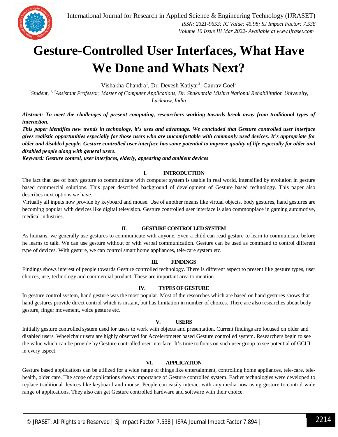

### **Gesture-Controlled User Interfaces, What Have We Done and Whats Next?**

Vishakha Chandra<sup>1</sup>, Dr. Devesh Katiyar<sup>2</sup>, Gaurav Goel<sup>3</sup>

<sup>1</sup> Student, <sup>2, 3</sup>Assistant Professor, Master of Computer Applications, Dr. Shakuntala Mishra National Rehabilitation University, *Lucknow, India*

*Abstract: To meet the challenges of present computing, researchers working towards break away from traditional types of interaction.* 

*This paper identifies new trends in technology, it's uses and advantage. We concluded that Gesture controlled user interface gives realistic opportunities especially for those users who are uncomfortable with commonly used devices. It's appropriate for older and disabled people. Gesture controlled user interface has some potential to improve quality of life especially for older and disabled people along with general users.*

*Keyword: Gesture control, user interfaces, elderly, appearing and ambient devices*

#### **I. INTRODUCTION**

The fact that use of body gesture to communicate with computer system is usable in real world, intensified by evolution in gesture based commercial solutions. This paper described background of development of Gesture based technology. This paper also describes next options we have.

Virtually all inputs now provide by keyboard and mouse. Use of another means like virtual objects, body gestures, hand gestures are becoming popular with devices like digital television. Gesture controlled user interface is also commonplace in gaming automotive, medical industries.

#### **II. GESTURE CONTROLLED SYSTEM**

As humans, we generally use gestures to communicate with anyone. Even a child can read gesture to learn to communicate before he learns to talk. We can use gesture without or with verbal communication. Gesture can be used as command to control different type of devices. With gesture, we can control smart home appliances, tele-care system etc.

#### **III. FINDINGS**

Findings shows interest of people towards Gesture controlled technology. There is different aspect to present like gesture types, user choices, use, technology and commercial product. These are important area to mention.

#### **IV. TYPES OF GESTURE**

In gesture control system, hand gesture was the most popular. Most of the researches which are based on hand gestures shows that hand gestures provide direct control which is instant, but has limitation in number of choices. There are also researches about body gesture, finger movement, voice gesture etc.

#### **V. USERS**

Initially gesture controlled system used for users to work with objects and presentation. Current findings are focused on older and disabled users. Wheelchair users are highly observed for Accelerometer based Gesture controlled system. Researchers begin to see the value which can be provide by Gesture controlled user interface. It's time to focus on such user group to see potential of GCUI in every aspect.

#### **VI. APPLICATION**

Gesture based applications can be utilized for a wide range of things like entertainment, controlling home appliances, tele-care, telehealth, older care. The scope of applications shows importance of Gesture controlled system. Earlier technologies were developed to replace traditional devices like keyboard and mouse. People can easily interact with any media now using gesture to control wide range of applications. They also can get Gesture controlled hardware and software with their choice.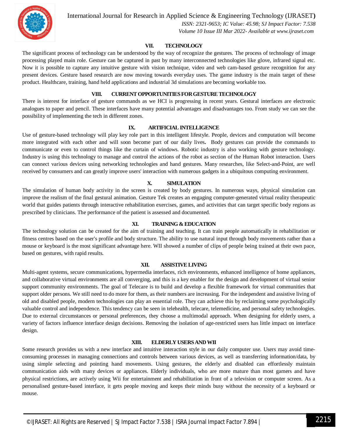

International Journal for Research in Applied Science & Engineering Technology (IJRASET**)**

 *ISSN: 2321-9653; IC Value: 45.98; SJ Impact Factor: 7.538 Volume 10 Issue III Mar 2022- Available at www.ijraset.com*

#### **VII. TECHNOLOGY**

The significant process of technology can be understood by the way of recognize the gestures. The process of technology of image processing played main role. Gesture can be captured in past by many interconnected technologies like glove, infrared signal etc. Now it is possible to capture any intuitive gesture with vision technique, video and web cam-based gesture recognition for any present devices. Gesture based research are now moving towards everyday uses. The game industry is the main target of these product. Healthcare, training, hand held applications and industrial 3d simulations are becoming workable too.

#### **VIII. CURRENT OPPORTUNITIES FOR GESTURE TECHNOLOGY**

There is interest for interface of gesture commands as we HCI is progressing in recent years. Gestural interfaces are electronic analogues to paper and pencil. These interfaces have many potential advantages and disadvantages too. From study we can see the possibility of implementing the tech in different zones.

#### **IX. ARTIFICIAL INTELLIGENCE**

Use of gesture-based technology will play key role part in this intelligent lifestyle. People, devices and computation will become more integrated with each other and will soon become part of our daily lives**.** Body gestures can provide the commands to communicate or even to control things like the curtain of windows. Robotic industry is also working with gesture technology. Industry is using this technology to manage and control the actions of the robot as section of the Human Robot interaction. Users can connect various devices using networking technologies and hand gestures. Many researches, like Select-and-Point, are well received by consumers and can greatly improve users' interaction with numerous gadgets in a ubiquitous computing environment.

#### **X. SIMULATION**

The simulation of human body activity in the screen is created by body gestures. In numerous ways, physical simulation can improve the realism of the final gestural animation. Gesture Tek creates an engaging computer-generated virtual reality therapeutic world that guides patients through interactive rehabilitation exercises, games, and activities that can target specific body regions as prescribed by clinicians. The performance of the patient is assessed and documented.

#### **XI. TRAINING & EDUCATION**

The technology solution can be created for the aim of training and teaching. It can train people automatically in rehabilitation or fitness centres based on the user's profile and body structure. The ability to use natural input through body movements rather than a mouse or keyboard is the most significant advantage here. WII showed a number of clips of people being trained at their own pace, based on gestures, with rapid results.

#### **XII. ASSISTIVE LIVING**

Multi-agent systems, secure communications, hypermedia interfaces, rich environments, enhanced intelligence of home appliances, and collaborative virtual environments are all converging, and this is a key enabler for the design and development of virtual senior support community environments. The goal of Telecare is to build and develop a flexible framework for virtual communities that support older persons. We still need to do more for them, as their numbers are increasing. For the independent and assistive living of old and disabled people, modern technologies can play an essential role. They can achieve this by reclaiming some psychologically valuable control and independence. This tendency can be seen in telehealth, telecare, telemedicine, and personal safety technologies. Due to external circumstances or personal preferences, they choose a multimodal approach. When designing for elderly users, a variety of factors influence interface design decisions. Removing the isolation of age-restricted users has little impact on interface design.

#### **XIII. ELDERLY USERS AND WII**

Some research provides us with a new interface and intuitive interaction style in our daily computer use. Users may avoid timeconsuming processes in managing connections and controls between various devices, as well as transferring information/data, by using simple selecting and pointing hand movements. Using gestures, the elderly and disabled can effortlessly maintain communication aids with many devices or appliances. Elderly individuals, who are more mature than most gamers and have physical restrictions, are actively using Wii for entertainment and rehabilitation in front of a television or computer screen. As a personalised gesture-based interface, it gets people moving and keeps their minds busy without the necessity of a keyboard or mouse.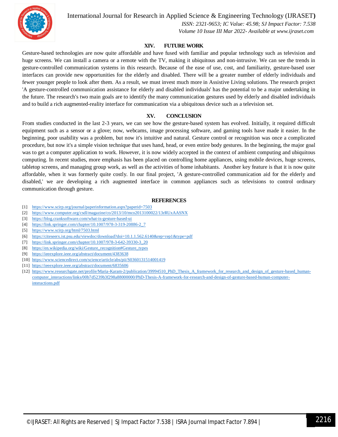

International Journal for Research in Applied Science & Engineering Technology (IJRASET**)**

 *ISSN: 2321-9653; IC Value: 45.98; SJ Impact Factor: 7.538 Volume 10 Issue III Mar 2022- Available at www.ijraset.com*

#### **XIV. FUTURE WORK**

Gesture-based technologies are now quite affordable and have fused with familiar and popular technology such as television and huge screens. We can install a camera or a remote with the TV, making it ubiquitous and non-intrusive. We can see the trends in gesture-controlled communication systems in this research. Because of the ease of use, cost, and familiarity, gesture-based user interfaces can provide new opportunities for the elderly and disabled. There will be a greater number of elderly individuals and fewer younger people to look after them. As a result, we must invest much more in Assistive Living solutions. The research project 'A gesture-controlled communication assistance for elderly and disabled individuals' has the potential to be a major undertaking in the future. The research's two main goals are to identify the many communication gestures used by elderly and disabled individuals and to build a rich augmented-reality interface for communication via a ubiquitous device such as a television set.

#### **XV. CONCLUSION**

From studies conducted in the last 2-3 years, we can see how the gesture-based system has evolved. Initially, it required difficult equipment such as a sensor or a glove; now, webcams, image processing software, and gaming tools have made it easier. In the beginning, poor usability was a problem, but now it's intuitive and natural. Gesture control or recognition was once a complicated procedure, but now it's a simple vision technique that uses hand, head, or even entire body gestures. In the beginning, the major goal was to get a computer application to work. However, it is now widely accepted in the context of ambient computing and ubiquitous computing. In recent studies, more emphasis has been placed on controlling home appliances, using mobile devices, huge screens, tabletop screens, and managing group work, as well as the activities of home inhabitants. Another key feature is that it is now quite affordable, when it was formerly quite costly. In our final project, 'A gesture-controlled communication aid for the elderly and disabled,' we are developing a rich augmented interface in common appliances such as televisions to control ordinary communication through gesture.

#### **REFERENCES**

- [1] https://www.scirp.org/journal/paperinformation.aspx?paperid=7503
- [2] https://www.computer.org/csdl/magazine/co/2013/10/mco2013100022/13rRUxAASNX
- [3] https://blog.cranksoftware.com/what-is-gesture-based-ui
- [4] https://link.springer.com/chapter/10.1007/978-3-319-20886-2\_7
- [5] https://www.scirp.org/html/7503.html
- [6] https://citeseerx.ist.psu.edu/viewdoc/download?doi=10.1.1.562.6140&rep=rep1&type=pdf
- [7] https://link.springer.com/chapter/10.1007/978-3-642-39330-3\_20
- [8] https://en.wikipedia.org/wiki/Gesture\_recognition#Gesture\_types
- [9] https://ieeexplore.ieee.org/abstract/document/4383638
- [10] https://www.sciencedirect.com/science/article/abs/pii/S0360131514001419
- [11] https://ieeexplore.ieee.org/abstract/document/6835606
- [12] https://www.researchgate.net/profile/Maria-Karam-2/publication/39994510\_PhD\_Thesis\_A\_framework\_for\_research\_and\_design\_of\_gesture-based\_humancomputer\_interactions/links/00b7d5239b3f298a88000000/PhD-Thesis-A-framework-for-research-and-design-of-gesture-based-human-computerinteractions.pdf